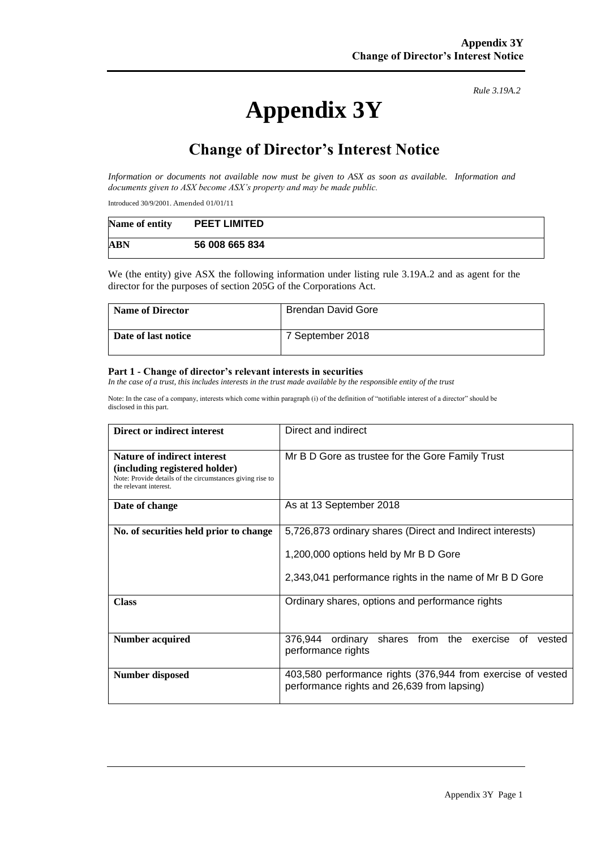# **Appendix 3Y**

*Rule 3.19A.2*

# **Change of Director's Interest Notice**

*Information or documents not available now must be given to ASX as soon as available. Information and documents given to ASX become ASX's property and may be made public.*

Introduced 30/9/2001. Amended 01/01/11

| Name of entity | <b>PEET LIMITED</b> |  |
|----------------|---------------------|--|
| <b>ABN</b>     | 56 008 665 834      |  |

We (the entity) give ASX the following information under listing rule 3.19A.2 and as agent for the director for the purposes of section 205G of the Corporations Act.

| <b>Name of Director</b> | <b>Brendan David Gore</b> |
|-------------------------|---------------------------|
| Date of last notice     | 7 September 2018          |

#### **Part 1 - Change of director's relevant interests in securities**

*In the case of a trust, this includes interests in the trust made available by the responsible entity of the trust*

Note: In the case of a company, interests which come within paragraph (i) of the definition of "notifiable interest of a director" should be disclosed in this part.

| Direct or indirect interest                                                                                                                                | Direct and indirect                                                                                                                                           |
|------------------------------------------------------------------------------------------------------------------------------------------------------------|---------------------------------------------------------------------------------------------------------------------------------------------------------------|
| <b>Nature of indirect interest</b><br>(including registered holder)<br>Note: Provide details of the circumstances giving rise to<br>the relevant interest. | Mr B D Gore as trustee for the Gore Family Trust                                                                                                              |
| Date of change                                                                                                                                             | As at 13 September 2018                                                                                                                                       |
| No. of securities held prior to change                                                                                                                     | 5,726,873 ordinary shares (Direct and Indirect interests)<br>1,200,000 options held by Mr B D Gore<br>2,343,041 performance rights in the name of Mr B D Gore |
| <b>Class</b>                                                                                                                                               | Ordinary shares, options and performance rights                                                                                                               |
| Number acquired                                                                                                                                            | shares from the exercise<br>376.944<br>ordinary<br>vested<br>0t<br>performance rights                                                                         |
| <b>Number disposed</b>                                                                                                                                     | 403,580 performance rights (376,944 from exercise of vested<br>performance rights and 26,639 from lapsing)                                                    |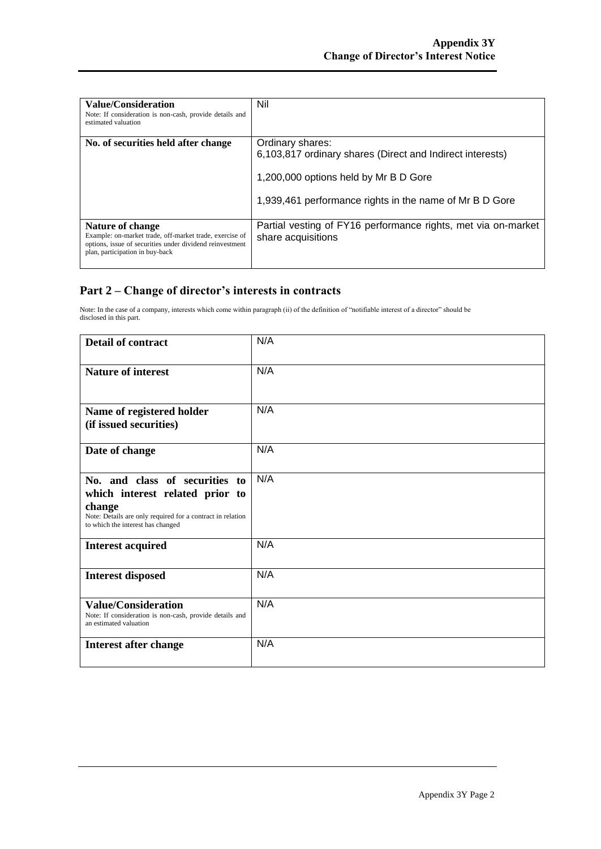| <b>Value/Consideration</b><br>Note: If consideration is non-cash, provide details and<br>estimated valuation                                                               | Nil                                                                                                                                                                               |
|----------------------------------------------------------------------------------------------------------------------------------------------------------------------------|-----------------------------------------------------------------------------------------------------------------------------------------------------------------------------------|
| No. of securities held after change                                                                                                                                        | Ordinary shares:<br>6,103,817 ordinary shares (Direct and Indirect interests)<br>1,200,000 options held by Mr B D Gore<br>1,939,461 performance rights in the name of Mr B D Gore |
| Nature of change<br>Example: on-market trade, off-market trade, exercise of<br>options, issue of securities under dividend reinvestment<br>plan, participation in buy-back | Partial vesting of FY16 performance rights, met via on-market<br>share acquisitions                                                                                               |

### **Part 2 – Change of director's interests in contracts**

Note: In the case of a company, interests which come within paragraph (ii) of the definition of "notifiable interest of a director" should be disclosed in this part.

| <b>Detail of contract</b>                                                                                                                                                      | N/A |
|--------------------------------------------------------------------------------------------------------------------------------------------------------------------------------|-----|
| <b>Nature of interest</b>                                                                                                                                                      | N/A |
| Name of registered holder<br>(if issued securities)                                                                                                                            | N/A |
| Date of change                                                                                                                                                                 | N/A |
| No. and class of securities to<br>which interest related prior to<br>change<br>Note: Details are only required for a contract in relation<br>to which the interest has changed | N/A |
| <b>Interest acquired</b>                                                                                                                                                       | N/A |
| <b>Interest disposed</b>                                                                                                                                                       | N/A |
| <b>Value/Consideration</b><br>Note: If consideration is non-cash, provide details and<br>an estimated valuation                                                                | N/A |
| <b>Interest after change</b>                                                                                                                                                   | N/A |